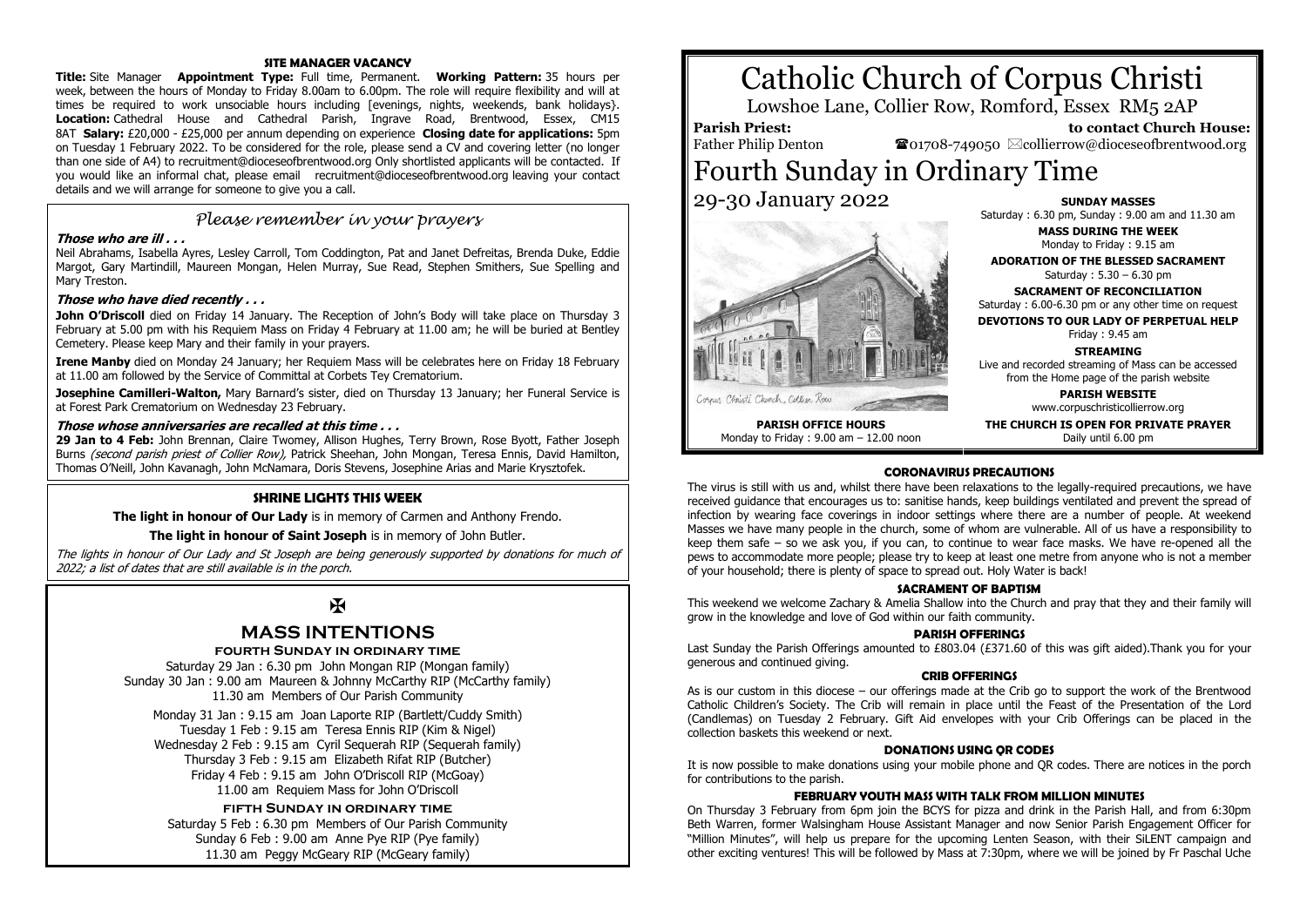#### **SITE MANAGER VACANCY**

**Title:** Site Manager **Appointment Type:** Full time, Permanent. **Working Pattern:** 35 hours per week, between the hours of Monday to Friday 8.00am to 6.00pm. The role will require flexibility and will at times be required to work unsociable hours including [evenings, nights, weekends, bank holidays}. **Location:** Cathedral House and Cathedral Parish, Ingrave Road, Brentwood, Essex, CM15 8AT **Salary:** £20,000 - £25,000 per annum depending on experience **Closing date for applications:** 5pm on Tuesday 1 February 2022. To be considered for the role, please send a CV and covering letter (no longer than one side of A4) to recruitment@dioceseofbrentwood.org Only shortlisted applicants will be contacted. If you would like an informal chat, please email recruitment@dioceseofbrentwood.org leaving your contact details and we will arrange for someone to give you a call.

## *Please remember in your prayers*

#### **Those who are ill . . .**

Neil Abrahams, Isabella Ayres, Lesley Carroll, Tom Coddington, Pat and Janet Defreitas, Brenda Duke, Eddie Margot, Gary Martindill, Maureen Mongan, Helen Murray, Sue Read, Stephen Smithers, Sue Spelling and Mary Treston.

#### **Those who have died recently . . .**

**John O'Driscoll** died on Friday 14 January. The Reception of John's Body will take place on Thursday 3 February at 5.00 pm with his Requiem Mass on Friday 4 February at 11.00 am; he will be buried at Bentley Cemetery. Please keep Mary and their family in your prayers.

**Irene Manby** died on Monday 24 January; her Requiem Mass will be celebrates here on Friday 18 February at 11.00 am followed by the Service of Committal at Corbets Tey Crematorium.

**Josephine Camilleri-Walton,** Mary Barnard's sister, died on Thursday 13 January; her Funeral Service is at Forest Park Crematorium on Wednesday 23 February.

#### **Those whose anniversaries are recalled at this time . . .**

**29 Jan to 4 Feb:** John Brennan, Claire Twomey, Allison Hughes, Terry Brown, Rose Byott, Father Joseph Burns *(second parish priest of Collier Row)*, Patrick Sheehan, John Mongan, Teresa Ennis, David Hamilton, Thomas O'Neill, John Kavanagh, John McNamara, Doris Stevens, Josephine Arias and Marie Krysztofek.

#### **SHRINE LIGHTS THIS WEEK**

**The light in honour of Our Lady** is in memory of Carmen and Anthony Frendo.

#### **The light in honour of Saint Joseph** is in memory of John Butler.

The lights in honour of Our Lady and St Joseph are being generously supported by donations for much of 2022; a list of dates that are still available is in the porch.

## Ж

## **MASS INTENTIONS**

#### **fourth Sunday in ordinary time**

Saturday 29 Jan : 6.30 pm John Mongan RIP (Mongan family) Sunday 30 Jan : 9.00 am Maureen & Johnny McCarthy RIP (McCarthy family) 11.30 am Members of Our Parish Community

Monday 31 Jan : 9.15 am Joan Laporte RIP (Bartlett/Cuddy Smith) Tuesday 1 Feb : 9.15 am Teresa Ennis RIP (Kim & Nigel) Wednesday 2 Feb : 9.15 am Cyril Sequerah RIP (Sequerah family) Thursday 3 Feb : 9.15 am Elizabeth Rifat RIP (Butcher) Friday 4 Feb : 9.15 am John O'Driscoll RIP (McGoay) 11.00 am Requiem Mass for John O'Driscoll

#### **fifth Sunday in ordinary time**

Saturday 5 Feb : 6.30 pm Members of Our Parish Community Sunday 6 Feb : 9.00 am Anne Pye RIP (Pye family) 11.30 am Peggy McGeary RIP (McGeary family)

# Catholic Church of Corpus Christi

Lowshoe Lane, Collier Row, Romford, Essex RM5 2AP

#### **Parish Priest:** Father Philip Denton

 $\bullet$ 01708-749050  $\boxtimes$ collierrow@dioceseofbrentwood.org

## Fourth Sunday in Ordinary Time 29-30 January 2022



**PARISH OFFICE HOURS** Monday to Friday : 9.00 am – 12.00 noon

## **SUNDAY MASSES**

Saturday : 6.30 pm, Sunday : 9.00 am and 11.30 am

 **to contact Church House:**

**MASS DURING THE WEEK** Monday to Friday : 9.15 am

**ADORATION OF THE BLESSED SACRAMENT** Saturday : 5.30 – 6.30 pm

**SACRAMENT OF RECONCILIATION** Saturday : 6.00-6.30 pm or any other time on request

**DEVOTIONS TO OUR LADY OF PERPETUAL HELP**

Friday : 9.45 am

**STREAMING**

Live and recorded streaming of Mass can be accessed from the Home page of the parish website

> **PARISH WEBSITE** www.corpuschristicollierrow.org

**THE CHURCH IS OPEN FOR PRIVATE PRAYER** Daily until 6.00 pm

**CORONAVIRUS PRECAUTIONS** The virus is still with us and, whilst there have been relaxations to the legally-required precautions, we have received guidance that encourages us to: sanitise hands, keep buildings ventilated and prevent the spread of infection by wearing face coverings in indoor settings where there are a number of people. At weekend Masses we have many people in the church, some of whom are vulnerable. All of us have a responsibility to keep them safe – so we ask you, if you can, to continue to wear face masks. We have re-opened all the pews to accommodate more people; please try to keep at least one metre from anyone who is not a member of your household; there is plenty of space to spread out. Holy Water is back!

#### **SACRAMENT OF BAPTISM**

This weekend we welcome Zachary & Amelia Shallow into the Church and pray that they and their family will grow in the knowledge and love of God within our faith community.

### **PARISH OFFERINGS**

Last Sunday the Parish Offerings amounted to £803.04 (£371.60 of this was gift aided). Thank you for your generous and continued giving.

#### **CRIB OFFERINGS**

As is our custom in this diocese – our offerings made at the Crib go to support the work of the Brentwood Catholic Children's Society. The Crib will remain in place until the Feast of the Presentation of the Lord (Candlemas) on Tuesday 2 February. Gift Aid envelopes with your Crib Offerings can be placed in the collection baskets this weekend or next.

#### **DONATIONS USING QR CODES**

It is now possible to make donations using your mobile phone and QR codes. There are notices in the porch for contributions to the parish.

#### **FEBRUARY YOUTH MASS WITH TALK FROM MILLION MINUTES**

On Thursday 3 February from 6pm join the BCYS for pizza and drink in the Parish Hall, and from 6:30pm Beth Warren, former Walsingham House Assistant Manager and now Senior Parish Engagement Officer for "Million Minutes", will help us prepare for the upcoming Lenten Season, with their SiLENT campaign and other exciting ventures! This will be followed by Mass at 7:30pm, where we will be joined by Fr Paschal Uche